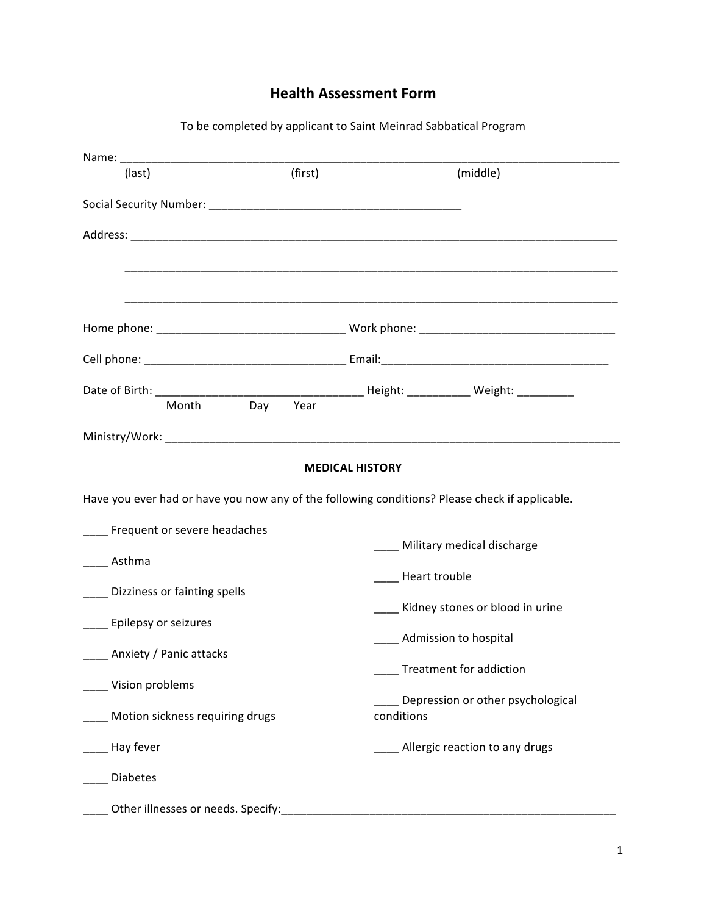## **Health Assessment Form**

| Name: Name and the state of the state of the state of the state of the state of the state of the state of the state of the state of the state of the state of the state of the state of the state of the state of the state of |         |                                    |  |  |
|--------------------------------------------------------------------------------------------------------------------------------------------------------------------------------------------------------------------------------|---------|------------------------------------|--|--|
| (last)                                                                                                                                                                                                                         | (first) | (middle)                           |  |  |
|                                                                                                                                                                                                                                |         |                                    |  |  |
|                                                                                                                                                                                                                                |         |                                    |  |  |
|                                                                                                                                                                                                                                |         |                                    |  |  |
|                                                                                                                                                                                                                                |         |                                    |  |  |
|                                                                                                                                                                                                                                |         |                                    |  |  |
|                                                                                                                                                                                                                                |         |                                    |  |  |
|                                                                                                                                                                                                                                |         |                                    |  |  |
| Month<br>Day Year                                                                                                                                                                                                              |         |                                    |  |  |
|                                                                                                                                                                                                                                |         |                                    |  |  |
| <b>MEDICAL HISTORY</b>                                                                                                                                                                                                         |         |                                    |  |  |
| Have you ever had or have you now any of the following conditions? Please check if applicable.                                                                                                                                 |         |                                    |  |  |
| __ Frequent or severe headaches                                                                                                                                                                                                |         |                                    |  |  |
| Asthma                                                                                                                                                                                                                         |         | Military medical discharge         |  |  |
| Dizziness or fainting spells                                                                                                                                                                                                   |         | Heart trouble                      |  |  |
| Epilepsy or seizures                                                                                                                                                                                                           |         | Kidney stones or blood in urine    |  |  |
| Anxiety / Panic attacks                                                                                                                                                                                                        |         | _ Admission to hospital            |  |  |
| Vision problems                                                                                                                                                                                                                |         | Treatment for addiction            |  |  |
|                                                                                                                                                                                                                                |         | Depression or other psychological  |  |  |
| Motion sickness requiring drugs                                                                                                                                                                                                |         | conditions                         |  |  |
| Hay fever                                                                                                                                                                                                                      |         | ___ Allergic reaction to any drugs |  |  |
| Diabetes                                                                                                                                                                                                                       |         |                                    |  |  |
|                                                                                                                                                                                                                                |         |                                    |  |  |